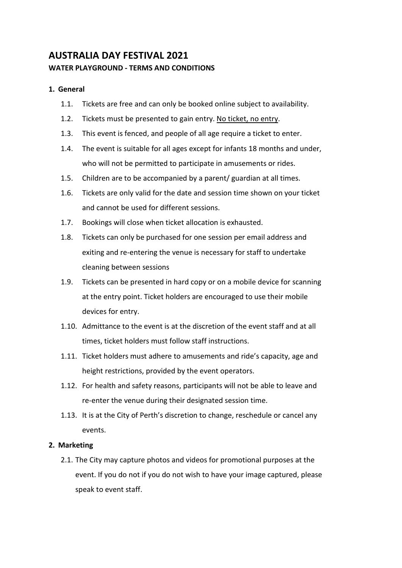# **AUSTRALIA DAY FESTIVAL 2021 WATER PLAYGROUND - TERMS AND CONDITIONS**

## **1. General**

- 1.1. Tickets are free and can only be booked online subject to availability.
- 1.2. Tickets must be presented to gain entry. No ticket, no entry.
- 1.3. This event is fenced, and people of all age require a ticket to enter.
- 1.4. The event is suitable for all ages except for infants 18 months and under, who will not be permitted to participate in amusements or rides.
- 1.5. Children are to be accompanied by a parent/ guardian at all times.
- 1.6. Tickets are only valid for the date and session time shown on your ticket and cannot be used for different sessions.
- 1.7. Bookings will close when ticket allocation is exhausted.
- 1.8. Tickets can only be purchased for one session per email address and exiting and re-entering the venue is necessary for staff to undertake cleaning between sessions
- 1.9. Tickets can be presented in hard copy or on a mobile device for scanning at the entry point. Ticket holders are encouraged to use their mobile devices for entry.
- 1.10. Admittance to the event is at the discretion of the event staff and at all times, ticket holders must follow staff instructions.
- 1.11. Ticket holders must adhere to amusements and ride's capacity, age and height restrictions, provided by the event operators.
- 1.12. For health and safety reasons, participants will not be able to leave and re-enter the venue during their designated session time.
- 1.13. It is at the City of Perth's discretion to change, reschedule or cancel any events.

## **2. Marketing**

2.1. The City may capture photos and videos for promotional purposes at the event. If you do not if you do not wish to have your image captured, please speak to event staff.